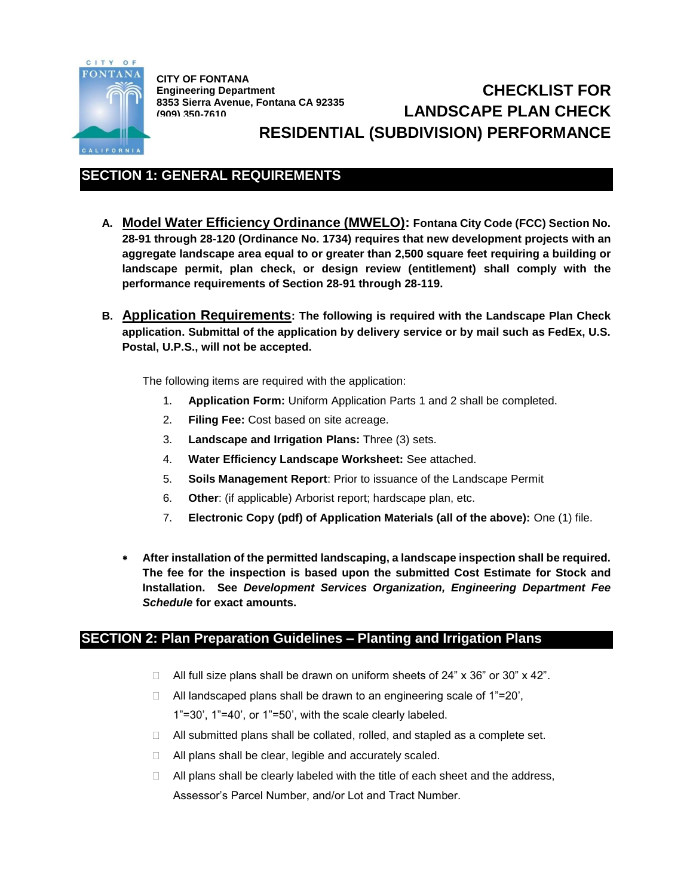

**CITY OF FONTANA Engineering Department 8353 Sierra Avenue, Fontana CA 92335 (909) 350-7610**

# **CHECKLIST FOR LANDSCAPE PLAN CHECK RESIDENTIAL (SUBDIVISION) PERFORMANCE**

# **SECTION 1: GENERAL REQUIREMENTS**

- **A. Model Water Efficiency Ordinance (MWELO): Fontana City Code (FCC) Section No. 28-91 through 28-120 (Ordinance No. 1734) requires that new development projects with an aggregate landscape area equal to or greater than 2,500 square feet requiring a building or landscape permit, plan check, or design review (entitlement) shall comply with the performance requirements of Section 28-91 through 28-119.**
- **B. Application Requirements: The following is required with the Landscape Plan Check application. Submittal of the application by delivery service or by mail such as FedEx, U.S. Postal, U.P.S., will not be accepted.**

The following items are required with the application:

- 1. **Application Form:** Uniform Application Parts 1 and 2 shall be completed.
- 2. **Filing Fee:** Cost based on site acreage.
- 3. **Landscape and Irrigation Plans:** Three (3) sets.
- 4. **Water Efficiency Landscape Worksheet:** See attached.
- 5. **Soils Management Report**: Prior to issuance of the Landscape Permit
- 6. **Other**: (if applicable) Arborist report; hardscape plan, etc.
- 7. **Electronic Copy (pdf) of Application Materials (all of the above):** One (1) file.
- **After installation of the permitted landscaping, a landscape inspection shall be required. The fee for the inspection is based upon the submitted Cost Estimate for Stock and Installation. See** *Development Services Organization, Engineering Department Fee Schedule* **for exact amounts.**

### **SECTION 2: Plan Preparation Guidelines – Planting and Irrigation Plans**

- $\Box$  All full size plans shall be drawn on uniform sheets of 24" x 36" or 30" x 42".
- $\Box$  All landscaped plans shall be drawn to an engineering scale of 1"=20', 1"=30', 1"=40', or 1"=50', with the scale clearly labeled.
- $\Box$  All submitted plans shall be collated, rolled, and stapled as a complete set.
- $\Box$  All plans shall be clear, legible and accurately scaled.
- $\Box$  All plans shall be clearly labeled with the title of each sheet and the address, Assessor's Parcel Number, and/or Lot and Tract Number.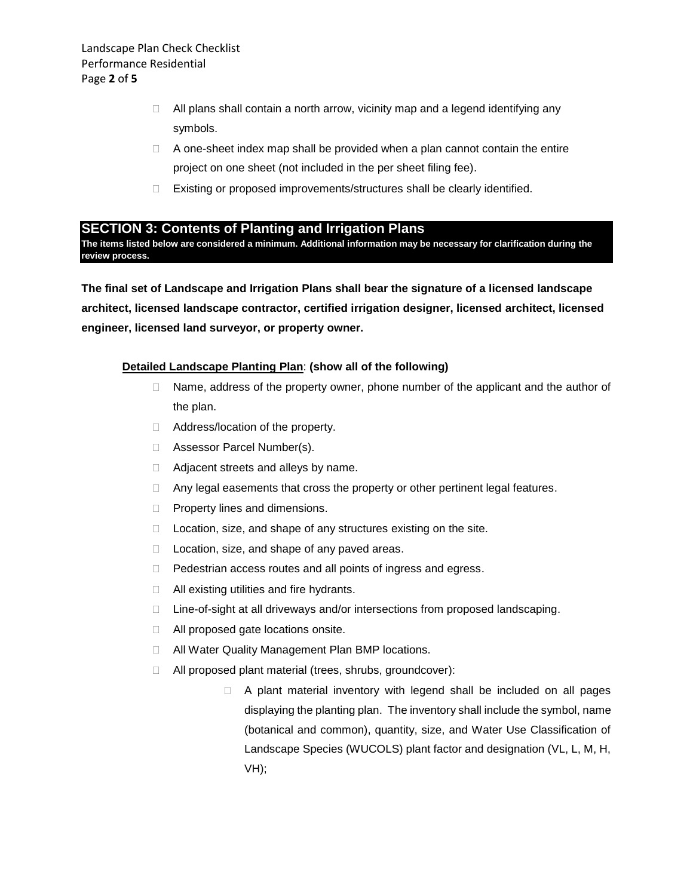- $\Box$  All plans shall contain a north arrow, vicinity map and a legend identifying any symbols.
- $\Box$  A one-sheet index map shall be provided when a plan cannot contain the entire project on one sheet (not included in the per sheet filing fee).
- □ Existing or proposed improvements/structures shall be clearly identified.

#### **SECTION 3: Contents of Planting and Irrigation Plans**

**The items listed below are considered a minimum. Additional information may be necessary for clarification during the review process.**

**The final set of Landscape and Irrigation Plans shall bear the signature of a licensed landscape architect, licensed landscape contractor, certified irrigation designer, licensed architect, licensed engineer, licensed land surveyor, or property owner.**

#### **Detailed Landscape Planting Plan**: **(show all of the following)**

- $\Box$  Name, address of the property owner, phone number of the applicant and the author of the plan.
- □ Address/location of the property.
- □ Assessor Parcel Number(s).
- □ Adjacent streets and alleys by name.
- $\Box$  Any legal easements that cross the property or other pertinent legal features.
- $\Box$  Property lines and dimensions.
- □ Location, size, and shape of any structures existing on the site.
- $\Box$  Location, size, and shape of any paved areas.
- D Pedestrian access routes and all points of ingress and egress.
- $\Box$  All existing utilities and fire hydrants.
- □ Line-of-sight at all driveways and/or intersections from proposed landscaping.
- □ All proposed gate locations onsite.
- □ All Water Quality Management Plan BMP locations.
- All proposed plant material (trees, shrubs, groundcover):
	- □ A plant material inventory with legend shall be included on all pages displaying the planting plan. The inventory shall include the symbol, name (botanical and common), quantity, size, and Water Use Classification of Landscape Species (WUCOLS) plant factor and designation (VL, L, M, H, VH);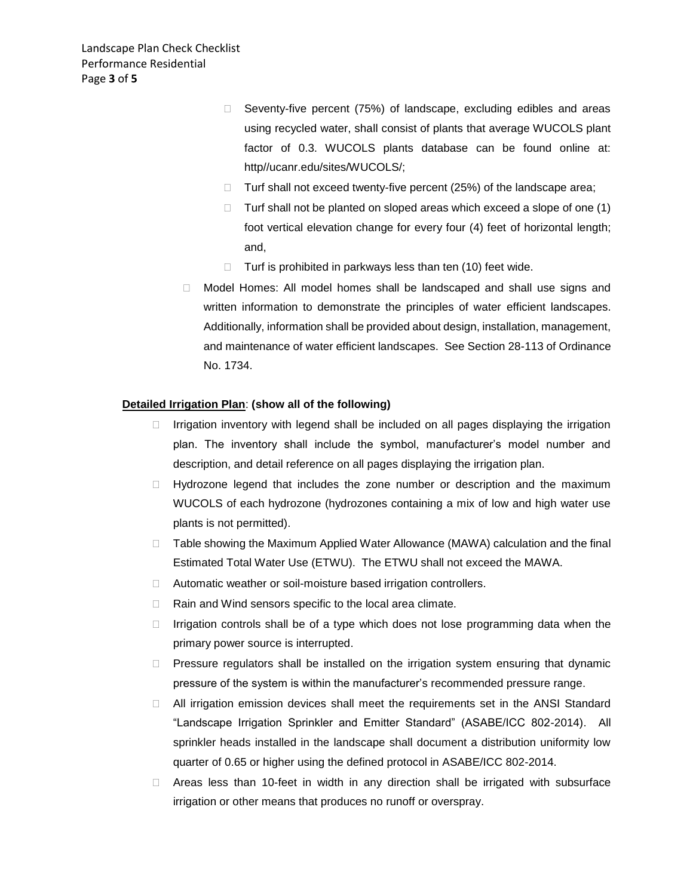- $\Box$  Seventy-five percent (75%) of landscape, excluding edibles and areas using recycled water, shall consist of plants that average WUCOLS plant factor of 0.3. WUCOLS plants database can be found online at: http//ucanr.edu/sites/WUCOLS/;
- $\Box$  Turf shall not exceed twenty-five percent (25%) of the landscape area;
- $\Box$  Turf shall not be planted on sloped areas which exceed a slope of one (1) foot vertical elevation change for every four (4) feet of horizontal length; and,
- $\Box$  Turf is prohibited in parkways less than ten (10) feet wide.
- □ Model Homes: All model homes shall be landscaped and shall use signs and written information to demonstrate the principles of water efficient landscapes. Additionally, information shall be provided about design, installation, management, and maintenance of water efficient landscapes. See Section 28-113 of Ordinance No. 1734.

#### **Detailed Irrigation Plan**: **(show all of the following)**

- $\Box$  Irrigation inventory with legend shall be included on all pages displaying the irrigation plan. The inventory shall include the symbol, manufacturer's model number and description, and detail reference on all pages displaying the irrigation plan.
- $\Box$  Hydrozone legend that includes the zone number or description and the maximum WUCOLS of each hydrozone (hydrozones containing a mix of low and high water use plants is not permitted).
- $\Box$  Table showing the Maximum Applied Water Allowance (MAWA) calculation and the final Estimated Total Water Use (ETWU). The ETWU shall not exceed the MAWA.
- □ Automatic weather or soil-moisture based irrigation controllers.
- □ Rain and Wind sensors specific to the local area climate.
- $\Box$  Irrigation controls shall be of a type which does not lose programming data when the primary power source is interrupted.
- $\Box$  Pressure regulators shall be installed on the irrigation system ensuring that dynamic pressure of the system is within the manufacturer's recommended pressure range.
- □ All irrigation emission devices shall meet the requirements set in the ANSI Standard "Landscape Irrigation Sprinkler and Emitter Standard" (ASABE/ICC 802-2014). All sprinkler heads installed in the landscape shall document a distribution uniformity low quarter of 0.65 or higher using the defined protocol in ASABE/ICC 802-2014.
- $\Box$  Areas less than 10-feet in width in any direction shall be irrigated with subsurface irrigation or other means that produces no runoff or overspray.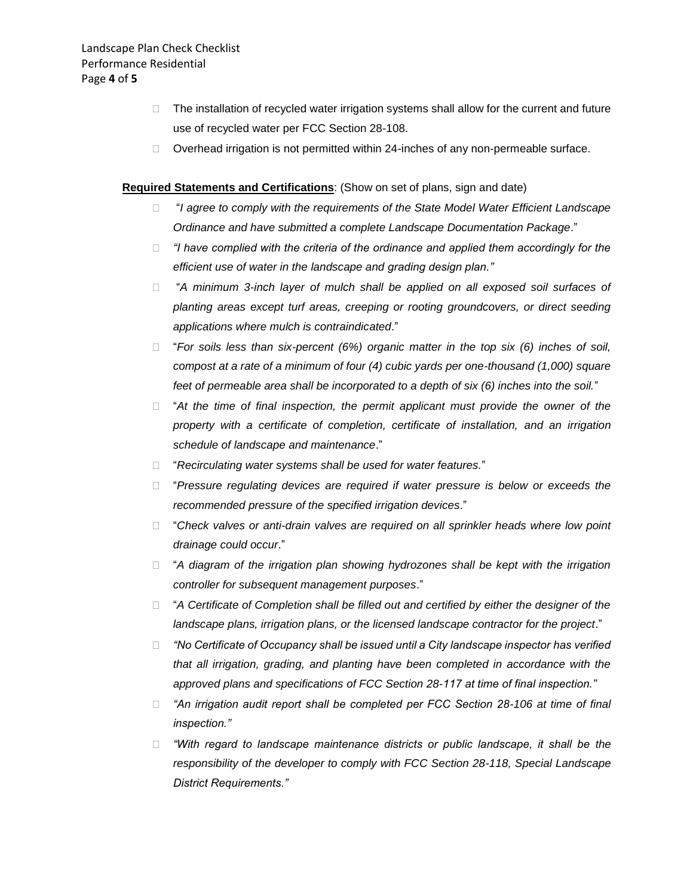- $\Box$  The installation of recycled water irrigation systems shall allow for the current and future use of recycled water per FCC Section 28-108.
- $\Box$  Overhead irrigation is not permitted within 24-inches of any non-permeable surface.

**Required Statements and Certifications**: (Show on set of plans, sign and date)

- □ <sup>"</sup>*I agree to comply with the requirements of the State Model Water Efficient Landscape Ordinance and have submitted a complete Landscape Documentation Package*."
- *"I have complied with the criteria of the ordinance and applied them accordingly for the efficient use of water in the landscape and grading design plan."*
- "*A minimum 3-inch layer of mulch shall be applied on all exposed soil surfaces of planting areas except turf areas, creeping or rooting groundcovers, or direct seeding applications where mulch is contraindicated*."
- "*For soils less than six-percent (6%) organic matter in the top six (6) inches of soil, compost at a rate of a minimum of four (4) cubic yards per one-thousand (1,000) square feet of permeable area shall be incorporated to a depth of six (6) inches into the soil.*"
- □ "At the time of final inspection, the permit applicant must provide the owner of the *property with a certificate of completion, certificate of installation, and an irrigation schedule of landscape and maintenance*."
- "*Recirculating water systems shall be used for water features.*"
- "*Pressure regulating devices are required if water pressure is below or exceeds the recommended pressure of the specified irrigation devices*."
- "*Check valves or anti-drain valves are required on all sprinkler heads where low point drainage could occur*."
- □ "A diagram of the irrigation plan showing hydrozones shall be kept with the irrigation *controller for subsequent management purposes*."
- □ "A Certificate of Completion shall be filled out and certified by either the designer of the *landscape plans, irrigation plans, or the licensed landscape contractor for the project*."
- *"No Certificate of Occupancy shall be issued until a City landscape inspector has verified that all irrigation, grading, and planting have been completed in accordance with the approved plans and specifications of FCC Section 28-117 at time of final inspection."*
- *"An irrigation audit report shall be completed per FCC Section 28-106 at time of final inspection."*
- *"With regard to landscape maintenance districts or public landscape, it shall be the responsibility of the developer to comply with FCC Section 28-118, Special Landscape District Requirements."*